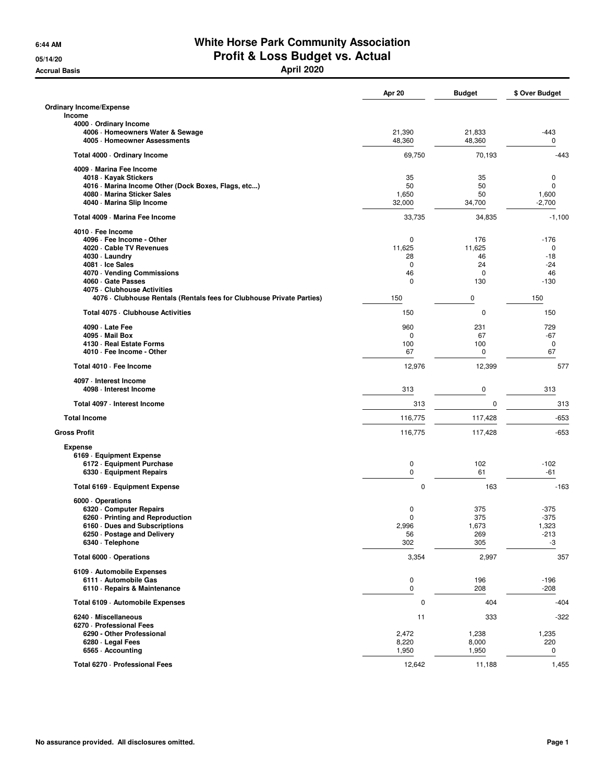## **6:44 AM White Horse Park Community Association 05/14/20 Profit & Loss Budget vs. Actual**

**Accrual Basis April 2020**

|                                                                     | Apr 20          | <b>Budget</b> | \$ Over Budget    |
|---------------------------------------------------------------------|-----------------|---------------|-------------------|
| <b>Ordinary Income/Expense</b>                                      |                 |               |                   |
| Income                                                              |                 |               |                   |
| 4000 · Ordinary Income<br>4006 · Homeowners Water & Sewage          | 21,390          | 21,833        | $-443$            |
| 4005 · Homeowner Assessments                                        | 48,360          | 48,360        | 0                 |
| Total 4000 · Ordinary Income                                        | 69,750          | 70,193        | $-443$            |
| 4009 - Marina Fee Income                                            |                 |               |                   |
| 4018 · Kayak Stickers                                               | 35              | 35            | 0                 |
| 4016 · Marina Income Other (Dock Boxes, Flags, etc)                 | 50              | 50            | $\mathbf 0$       |
| 4080 - Marina Sticker Sales<br>4040 · Marina Slip Income            | 1,650<br>32,000 | 50<br>34,700  | 1,600<br>$-2,700$ |
| Total 4009 - Marina Fee Income                                      | 33,735          | 34,835        | $-1,100$          |
| 4010 · Fee Income                                                   |                 |               |                   |
| 4096 · Fee Income - Other                                           | 0               | 176           | $-176$            |
| 4020 · Cable TV Revenues                                            | 11,625          | 11,625        | 0                 |
| 4030 · Laundry                                                      | 28              | 46            | $-18$             |
| 4081 · Ice Sales                                                    | 0               | 24            | $-24$             |
| 4070 · Vending Commissions                                          | 46              | 0             | 46                |
| 4060 Gate Passes<br>4075 - Clubhouse Activities                     | 0               | 130           | $-130$            |
| 4076 Clubhouse Rentals (Rentals fees for Clubhouse Private Parties) | 150             | 0             | 150               |
| Total 4075 - Clubhouse Activities                                   | 150             | 0             | 150               |
| 4090 · Late Fee                                                     | 960             | 231           | 729               |
| 4095 - Mail Box                                                     | 0               | 67            | $-67$             |
| 4130 - Real Estate Forms                                            | 100             | 100           | 0                 |
| 4010 · Fee Income - Other                                           | 67              | 0             | 67                |
| Total 4010 - Fee Income                                             | 12,976          | 12,399        | 577               |
| 4097 - Interest Income<br>4098 - Interest Income                    | 313             | $\pmb{0}$     | 313               |
| Total 4097 - Interest Income                                        | 313             | 0             | 313               |
| <b>Total Income</b>                                                 | 116,775         | 117,428       | $-653$            |
| <b>Gross Profit</b>                                                 | 116,775         | 117,428       | $-653$            |
|                                                                     |                 |               |                   |
| <b>Expense</b><br>6169 - Equipment Expense                          |                 |               |                   |
| 6172 - Equipment Purchase                                           | 0               | 102           | $-102$            |
| 6330 · Equipment Repairs                                            | $\mathbf 0$     | 61            | $-61$             |
| Total 6169 - Equipment Expense                                      | 0               | 163           | $-163$            |
|                                                                     |                 |               |                   |
| 6000 Operations<br>6320 Computer Repairs                            | 0               | 375           | $-375$            |
| 6260 - Printing and Reproduction                                    | 0               | 375           | $-375$            |
| 6160 Dues and Subscriptions                                         | 2,996           | 1,673         | 1,323             |
| 6250 · Postage and Delivery                                         | 56              | 269           | -213              |
| 6340 · Telephone                                                    | 302             | 305           | -3                |
| Total 6000 · Operations                                             | 3,354           | 2,997         | 357               |
| 6109 - Automobile Expenses                                          |                 |               |                   |
| 6111 - Automobile Gas                                               | $\pmb{0}$       | 196           | $-196$            |
| 6110 · Repairs & Maintenance                                        | $\mathbf 0$     | 208           | $-208$            |
| Total 6109 - Automobile Expenses                                    | 0               | 404           | $-404$            |
| 6240 · Miscellaneous                                                | 11              | 333           | $-322$            |
| 6270 - Professional Fees                                            |                 |               |                   |
| 6290 - Other Professional                                           | 2,472           | 1,238         | 1,235             |
| 6280 - Legal Fees<br>6565 - Accounting                              | 8,220<br>1,950  | 8,000         | 220<br>0          |
|                                                                     |                 | 1,950         |                   |
| Total 6270 - Professional Fees                                      | 12,642          | 11,188        | 1,455             |